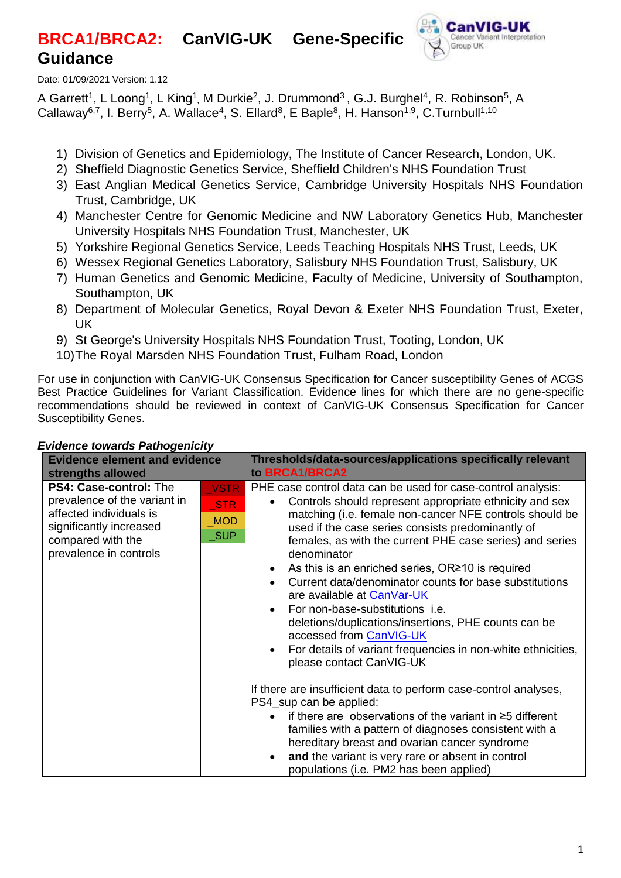# **BRCA1/BRCA2: CanVIG-UK Gene-Specific Guidance**



Date: 01/09/2021 Version: 1.12

A Garrett<sup>1</sup>, L Loong<sup>1</sup>, L King<sup>1</sup>, M Durkie<sup>2</sup>, J. Drummond<sup>3</sup>, G.J. Burghel<sup>4</sup>, R. Robinson<sup>5</sup>, A Callaway<sup>6,7</sup>, I. Berry<sup>5</sup>, A. Wallace<sup>4</sup>, S. Ellard<sup>8</sup>, E Baple<sup>8</sup>, H. Hanson<sup>1,9</sup>, C.Turnbull<sup>1,10</sup>

- 1) Division of Genetics and Epidemiology, The Institute of Cancer Research, London, UK.
- 2) Sheffield Diagnostic Genetics Service, Sheffield Children's NHS Foundation Trust
- 3) East Anglian Medical Genetics Service, Cambridge University Hospitals NHS Foundation Trust, Cambridge, UK
- 4) Manchester Centre for Genomic Medicine and NW Laboratory Genetics Hub, Manchester University Hospitals NHS Foundation Trust, Manchester, UK
- 5) Yorkshire Regional Genetics Service, Leeds Teaching Hospitals NHS Trust, Leeds, UK
- 6) Wessex Regional Genetics Laboratory, Salisbury NHS Foundation Trust, Salisbury, UK
- 7) Human Genetics and Genomic Medicine, Faculty of Medicine, University of Southampton, Southampton, UK
- 8) Department of Molecular Genetics, Royal Devon & Exeter NHS Foundation Trust, Exeter, UK
- 9) St George's University Hospitals NHS Foundation Trust, Tooting, London, UK
- 10)The Royal Marsden NHS Foundation Trust, Fulham Road, London

For use in conjunction with CanVIG-UK Consensus Specification for Cancer susceptibility Genes of ACGS Best Practice Guidelines for Variant Classification. Evidence lines for which there are no gene-specific recommendations should be reviewed in context of CanVIG-UK Consensus Specification for Cancer Susceptibility Genes.

| <b>Evidence element and evidence</b>                                                                                                                               |                                                | Thresholds/data-sources/applications specifically relevant                                                                                                                                                                                                                                                                                                                                                                                                                                                                                                                                                                                                                                                                                                                                                                                                                                                                                                                                                                                                         |  |  |  |
|--------------------------------------------------------------------------------------------------------------------------------------------------------------------|------------------------------------------------|--------------------------------------------------------------------------------------------------------------------------------------------------------------------------------------------------------------------------------------------------------------------------------------------------------------------------------------------------------------------------------------------------------------------------------------------------------------------------------------------------------------------------------------------------------------------------------------------------------------------------------------------------------------------------------------------------------------------------------------------------------------------------------------------------------------------------------------------------------------------------------------------------------------------------------------------------------------------------------------------------------------------------------------------------------------------|--|--|--|
| strengths allowed                                                                                                                                                  |                                                | to BRCA1/BRCA2                                                                                                                                                                                                                                                                                                                                                                                                                                                                                                                                                                                                                                                                                                                                                                                                                                                                                                                                                                                                                                                     |  |  |  |
| <b>PS4: Case-control: The</b><br>prevalence of the variant in<br>affected individuals is<br>significantly increased<br>compared with the<br>prevalence in controls | <b>VSTR</b><br>STR<br><b>MOD</b><br><b>SUP</b> | PHE case control data can be used for case-control analysis:<br>Controls should represent appropriate ethnicity and sex<br>matching (i.e. female non-cancer NFE controls should be<br>used if the case series consists predominantly of<br>females, as with the current PHE case series) and series<br>denominator<br>As this is an enriched series, $OR \ge 10$ is required<br>Current data/denominator counts for base substitutions<br>are available at CanVar-UK<br>For non-base-substitutions i.e.<br>deletions/duplications/insertions, PHE counts can be<br>accessed from CanVIG-UK<br>For details of variant frequencies in non-white ethnicities,<br>please contact CanVIG-UK<br>If there are insufficient data to perform case-control analyses,<br>PS4 sup can be applied:<br>if there are observations of the variant in $\geq$ 5 different<br>families with a pattern of diagnoses consistent with a<br>hereditary breast and ovarian cancer syndrome<br>and the variant is very rare or absent in control<br>populations (i.e. PM2 has been applied) |  |  |  |

#### *Evidence towards Pathogenicity*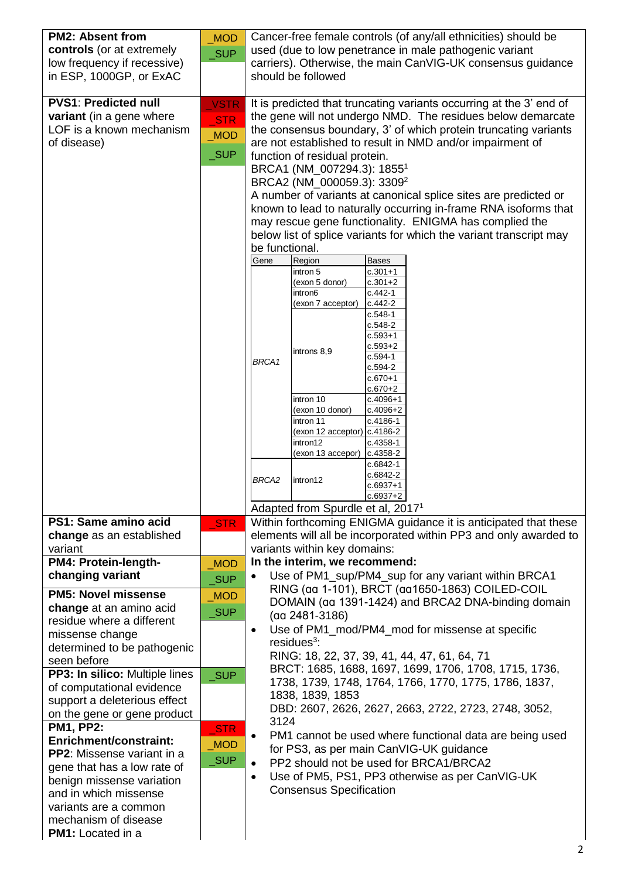| <b>PM2: Absent from</b>                              | <b>MOD</b>          | Cancer-free female controls (of any/all ethnicities) should be                                                                     |  |  |  |  |  |
|------------------------------------------------------|---------------------|------------------------------------------------------------------------------------------------------------------------------------|--|--|--|--|--|
| controls (or at extremely                            | <b>SUP</b>          | used (due to low penetrance in male pathogenic variant                                                                             |  |  |  |  |  |
| low frequency if recessive)                          |                     | carriers). Otherwise, the main CanVIG-UK consensus guidance                                                                        |  |  |  |  |  |
| in ESP, 1000GP, or ExAC                              |                     | should be followed                                                                                                                 |  |  |  |  |  |
| <b>PVS1: Predicted null</b>                          | <b>VSTR</b>         | It is predicted that truncating variants occurring at the 3' end of                                                                |  |  |  |  |  |
| variant (in a gene where                             | <b>STR</b>          | the gene will not undergo NMD. The residues below demarcate                                                                        |  |  |  |  |  |
| LOF is a known mechanism                             | MOD                 | the consensus boundary, 3' of which protein truncating variants                                                                    |  |  |  |  |  |
| of disease)                                          |                     | are not established to result in NMD and/or impairment of                                                                          |  |  |  |  |  |
|                                                      | $\sqrt{\text{SUP}}$ | function of residual protein.                                                                                                      |  |  |  |  |  |
|                                                      |                     | BRCA1 (NM_007294.3): 1855 <sup>1</sup>                                                                                             |  |  |  |  |  |
|                                                      |                     | BRCA2 (NM_000059.3): 3309 <sup>2</sup>                                                                                             |  |  |  |  |  |
|                                                      |                     | A number of variants at canonical splice sites are predicted or<br>known to lead to naturally occurring in-frame RNA isoforms that |  |  |  |  |  |
|                                                      |                     | may rescue gene functionality. ENIGMA has complied the                                                                             |  |  |  |  |  |
|                                                      |                     | below list of splice variants for which the variant transcript may                                                                 |  |  |  |  |  |
|                                                      |                     | be functional.                                                                                                                     |  |  |  |  |  |
|                                                      |                     | Gene<br>Region<br><b>Bases</b>                                                                                                     |  |  |  |  |  |
|                                                      |                     | intron 5<br>$c.301 + 1$<br>(exon 5 donor)<br>$c.301 + 2$                                                                           |  |  |  |  |  |
|                                                      |                     | $c.442-1$<br>intron6                                                                                                               |  |  |  |  |  |
|                                                      |                     | $c.442 - 2$<br>(exon 7 acceptor)                                                                                                   |  |  |  |  |  |
|                                                      |                     | c.548-1<br>$c.548-2$                                                                                                               |  |  |  |  |  |
|                                                      |                     | $c.593 + 1$                                                                                                                        |  |  |  |  |  |
|                                                      |                     | $c.593 + 2$<br>introns 8,9<br>$c.594-1$                                                                                            |  |  |  |  |  |
|                                                      |                     | BRCA1<br>$c.594-2$                                                                                                                 |  |  |  |  |  |
|                                                      |                     | c.670+1<br>$c.670 + 2$                                                                                                             |  |  |  |  |  |
|                                                      |                     | intron $10$<br>$c.4096 + 1$                                                                                                        |  |  |  |  |  |
|                                                      |                     | (exon 10 donor)<br>$c.4096 + 2$                                                                                                    |  |  |  |  |  |
|                                                      |                     | intron 11<br>c.4186-1<br>(exon 12 acceptor) c.4186-2                                                                               |  |  |  |  |  |
|                                                      |                     | intron12<br>$c.4358-1$                                                                                                             |  |  |  |  |  |
|                                                      |                     | (exon 13 accepor)<br>c.4358-2<br>c.6842-1                                                                                          |  |  |  |  |  |
|                                                      |                     | c.6842-2<br>BRCA2<br>intron12                                                                                                      |  |  |  |  |  |
|                                                      |                     | c.6937+1                                                                                                                           |  |  |  |  |  |
|                                                      |                     | $c.6937+2$<br>Adapted from Spurdle et al, 2017 <sup>1</sup>                                                                        |  |  |  |  |  |
| PS1: Same amino acid                                 | <b>STR</b>          | Within forthcoming ENIGMA guidance it is anticipated that these                                                                    |  |  |  |  |  |
| change as an established                             |                     | elements will all be incorporated within PP3 and only awarded to                                                                   |  |  |  |  |  |
| variant                                              |                     | variants within key domains:                                                                                                       |  |  |  |  |  |
| PM4: Protein-length-                                 | <b>MOD</b>          | In the interim, we recommend:                                                                                                      |  |  |  |  |  |
| changing variant                                     | SUP                 | Use of PM1_sup/PM4_sup for any variant within BRCA1<br>RING (aa 1-101), BRCT (aa1650-1863) COILED-COIL                             |  |  |  |  |  |
| <b>PM5: Novel missense</b>                           | MOD                 | DOMAIN (aa 1391-1424) and BRCA2 DNA-binding domain                                                                                 |  |  |  |  |  |
| change at an amino acid<br>residue where a different | <b>SUP</b>          | (aa 2481-3186)                                                                                                                     |  |  |  |  |  |
| missense change                                      |                     | Use of PM1_mod/PM4_mod for missense at specific<br>$\bullet$                                                                       |  |  |  |  |  |
| determined to be pathogenic                          |                     | $residues3$ :                                                                                                                      |  |  |  |  |  |
| seen before                                          |                     | RING: 18, 22, 37, 39, 41, 44, 47, 61, 64, 71                                                                                       |  |  |  |  |  |
| PP3: In silico: Multiple lines                       | <b>SUP</b>          | BRCT: 1685, 1688, 1697, 1699, 1706, 1708, 1715, 1736,<br>1738, 1739, 1748, 1764, 1766, 1770, 1775, 1786, 1837,                     |  |  |  |  |  |
| of computational evidence                            |                     | 1838, 1839, 1853                                                                                                                   |  |  |  |  |  |
| support a deleterious effect                         |                     | DBD: 2607, 2626, 2627, 2663, 2722, 2723, 2748, 3052,                                                                               |  |  |  |  |  |
| on the gene or gene product<br><b>PM1, PP2:</b>      |                     | 3124                                                                                                                               |  |  |  |  |  |
| <b>Enrichment/constraint:</b>                        | $\_STR$             | PM1 cannot be used where functional data are being used<br>$\bullet$                                                               |  |  |  |  |  |
| <b>PP2:</b> Missense variant in a                    | MOD                 | for PS3, as per main CanVIG-UK guidance                                                                                            |  |  |  |  |  |
| gene that has a low rate of                          | _SUP                | PP2 should not be used for BRCA1/BRCA2                                                                                             |  |  |  |  |  |
| benign missense variation                            |                     | Use of PM5, PS1, PP3 otherwise as per CanVIG-UK<br>$\bullet$                                                                       |  |  |  |  |  |
| and in which missense                                |                     | <b>Consensus Specification</b>                                                                                                     |  |  |  |  |  |
| variants are a common                                |                     |                                                                                                                                    |  |  |  |  |  |
| mechanism of disease<br><b>PM1:</b> Located in a     |                     |                                                                                                                                    |  |  |  |  |  |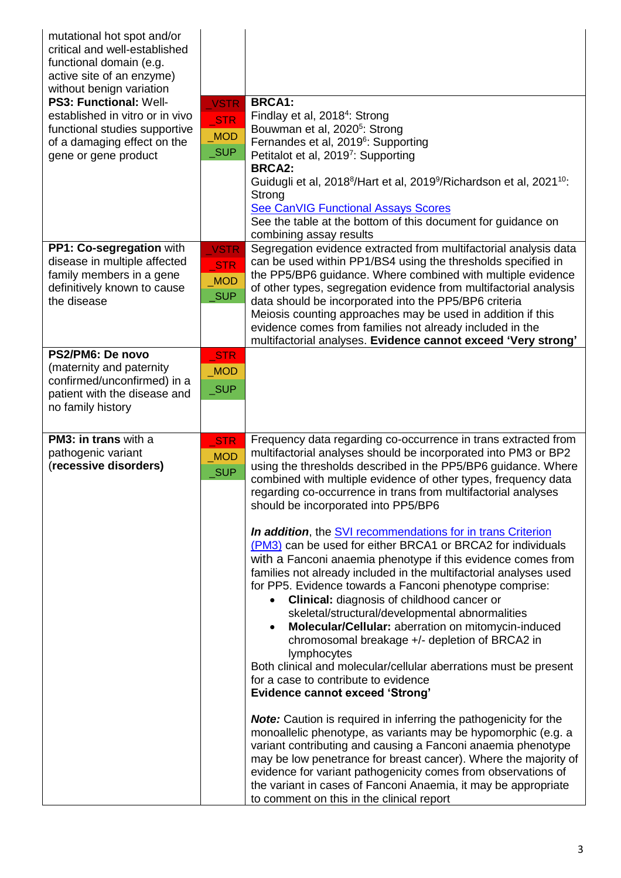| mutational hot spot and/or<br>critical and well-established<br>functional domain (e.g.<br>active site of an enzyme)<br>without benign variation<br><b>PS3: Functional: Well-</b><br>established in vitro or in vivo<br>functional studies supportive<br>of a damaging effect on the<br>gene or gene product | <b>VSTR</b><br>STR<br>MOD<br>$\sqrt{\text{SUP}}$               | <b>BRCA1:</b><br>Findlay et al, 2018 <sup>4</sup> : Strong<br>Bouwman et al, 2020 <sup>5</sup> : Strong<br>Fernandes et al, 2019 <sup>6</sup> : Supporting<br>Petitalot et al, 20197: Supporting<br><b>BRCA2:</b><br>Guidugli et al, 2018 <sup>8</sup> /Hart et al, 2019 <sup>9</sup> /Richardson et al, 2021 <sup>10</sup> :<br>Strong<br><b>See CanVIG Functional Assays Scores</b><br>See the table at the bottom of this document for guidance on<br>combining assay results                                                                                                                                                                                                                                                                                                                                                                                                                                                                                                                                                                                                                                                                                                                                                                                                                                                                                                                                                                                                                                                                                                                        |
|-------------------------------------------------------------------------------------------------------------------------------------------------------------------------------------------------------------------------------------------------------------------------------------------------------------|----------------------------------------------------------------|---------------------------------------------------------------------------------------------------------------------------------------------------------------------------------------------------------------------------------------------------------------------------------------------------------------------------------------------------------------------------------------------------------------------------------------------------------------------------------------------------------------------------------------------------------------------------------------------------------------------------------------------------------------------------------------------------------------------------------------------------------------------------------------------------------------------------------------------------------------------------------------------------------------------------------------------------------------------------------------------------------------------------------------------------------------------------------------------------------------------------------------------------------------------------------------------------------------------------------------------------------------------------------------------------------------------------------------------------------------------------------------------------------------------------------------------------------------------------------------------------------------------------------------------------------------------------------------------------------|
| PP1: Co-segregation with<br>disease in multiple affected<br>family members in a gene<br>definitively known to cause<br>the disease                                                                                                                                                                          | <b>VSTR</b><br><b>STR</b><br><b>MOD</b><br>$\sqrt{\text{SUP}}$ | Segregation evidence extracted from multifactorial analysis data<br>can be used within PP1/BS4 using the thresholds specified in<br>the PP5/BP6 guidance. Where combined with multiple evidence<br>of other types, segregation evidence from multifactorial analysis<br>data should be incorporated into the PP5/BP6 criteria<br>Meiosis counting approaches may be used in addition if this<br>evidence comes from families not already included in the<br>multifactorial analyses. Evidence cannot exceed 'Very strong'                                                                                                                                                                                                                                                                                                                                                                                                                                                                                                                                                                                                                                                                                                                                                                                                                                                                                                                                                                                                                                                                               |
| PS2/PM6: De novo<br>(maternity and paternity<br>confirmed/unconfirmed) in a<br>patient with the disease and<br>no family history                                                                                                                                                                            | STR<br><b>MOD</b><br>$\sqrt{\text{SUP}}$                       |                                                                                                                                                                                                                                                                                                                                                                                                                                                                                                                                                                                                                                                                                                                                                                                                                                                                                                                                                                                                                                                                                                                                                                                                                                                                                                                                                                                                                                                                                                                                                                                                         |
| PM3: in trans with a<br>pathogenic variant<br>(recessive disorders)                                                                                                                                                                                                                                         | <b>STR</b><br><b>MOD</b><br>$\sqrt{\text{SUP}}$                | Frequency data regarding co-occurrence in trans extracted from<br>multifactorial analyses should be incorporated into PM3 or BP2<br>using the thresholds described in the PP5/BP6 guidance. Where<br>combined with multiple evidence of other types, frequency data<br>regarding co-occurrence in trans from multifactorial analyses<br>should be incorporated into PP5/BP6<br><b>In addition</b> , the <b>SVI</b> recommendations for in trans Criterion<br>(PM3) can be used for either BRCA1 or BRCA2 for individuals<br>with a Fanconi anaemia phenotype if this evidence comes from<br>families not already included in the multifactorial analyses used<br>for PP5. Evidence towards a Fanconi phenotype comprise:<br><b>Clinical:</b> diagnosis of childhood cancer or<br>$\bullet$<br>skeletal/structural/developmental abnormalities<br>Molecular/Cellular: aberration on mitomycin-induced<br>$\bullet$<br>chromosomal breakage +/- depletion of BRCA2 in<br>lymphocytes<br>Both clinical and molecular/cellular aberrations must be present<br>for a case to contribute to evidence<br><b>Evidence cannot exceed 'Strong'</b><br><b>Note:</b> Caution is required in inferring the pathogenicity for the<br>monoallelic phenotype, as variants may be hypomorphic (e.g. a<br>variant contributing and causing a Fanconi anaemia phenotype<br>may be low penetrance for breast cancer). Where the majority of<br>evidence for variant pathogenicity comes from observations of<br>the variant in cases of Fanconi Anaemia, it may be appropriate<br>to comment on this in the clinical report |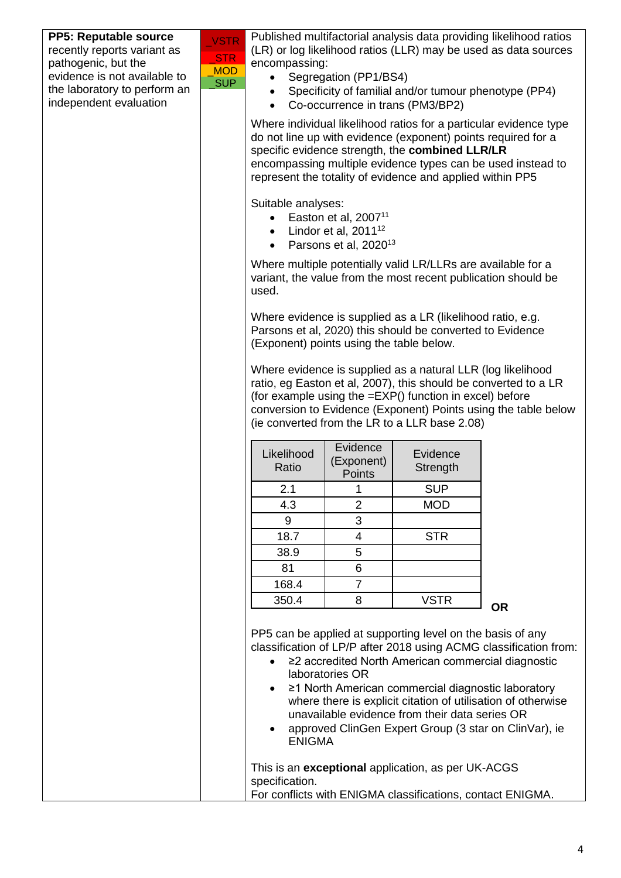| PP5: Reputable source<br>recently reports variant as<br>pathogenic, but the | <b>VSTR</b><br><b>STR</b> | encompassing:                            |                                   |                                                                                                                  | Published multifactorial analysis data providing likelihood ratios<br>(LR) or log likelihood ratios (LLR) may be used as data sources |
|-----------------------------------------------------------------------------|---------------------------|------------------------------------------|-----------------------------------|------------------------------------------------------------------------------------------------------------------|---------------------------------------------------------------------------------------------------------------------------------------|
| evidence is not available to                                                | <b>MOD</b>                |                                          | Segregation (PP1/BS4)             |                                                                                                                  |                                                                                                                                       |
| the laboratory to perform an                                                | <b>SUP</b>                |                                          |                                   |                                                                                                                  | Specificity of familial and/or tumour phenotype (PP4)                                                                                 |
| independent evaluation                                                      |                           |                                          | Co-occurrence in trans (PM3/BP2)  |                                                                                                                  |                                                                                                                                       |
|                                                                             |                           |                                          |                                   | do not line up with evidence (exponent) points required for a<br>specific evidence strength, the combined LLR/LR | Where individual likelihood ratios for a particular evidence type                                                                     |
|                                                                             |                           |                                          |                                   | represent the totality of evidence and applied within PP5                                                        | encompassing multiple evidence types can be used instead to                                                                           |
|                                                                             |                           | Suitable analyses:                       |                                   |                                                                                                                  |                                                                                                                                       |
|                                                                             |                           |                                          | Easton et al, 2007 <sup>11</sup>  |                                                                                                                  |                                                                                                                                       |
|                                                                             |                           | $\bullet$                                | Lindor et al, 2011 <sup>12</sup>  |                                                                                                                  |                                                                                                                                       |
|                                                                             |                           | $\bullet$                                | Parsons et al, 2020 <sup>13</sup> | Where multiple potentially valid LR/LLRs are available for a                                                     |                                                                                                                                       |
|                                                                             |                           | used.                                    |                                   |                                                                                                                  | variant, the value from the most recent publication should be                                                                         |
|                                                                             |                           |                                          |                                   | Where evidence is supplied as a LR (likelihood ratio, e.g.                                                       |                                                                                                                                       |
|                                                                             |                           |                                          |                                   | Parsons et al, 2020) this should be converted to Evidence                                                        |                                                                                                                                       |
|                                                                             |                           | (Exponent) points using the table below. |                                   |                                                                                                                  |                                                                                                                                       |
|                                                                             |                           |                                          |                                   | Where evidence is supplied as a natural LLR (log likelihood                                                      |                                                                                                                                       |
|                                                                             |                           |                                          |                                   |                                                                                                                  | ratio, eg Easton et al, 2007), this should be converted to a LR                                                                       |
|                                                                             |                           |                                          |                                   | (for example using the =EXP() function in excel) before                                                          |                                                                                                                                       |
|                                                                             |                           |                                          |                                   | (ie converted from the LR to a LLR base 2.08)                                                                    | conversion to Evidence (Exponent) Points using the table below                                                                        |
|                                                                             |                           |                                          |                                   |                                                                                                                  |                                                                                                                                       |
|                                                                             |                           | Likelihood                               | Evidence                          | Evidence                                                                                                         |                                                                                                                                       |
|                                                                             |                           | Ratio                                    | (Exponent)                        | Strength                                                                                                         |                                                                                                                                       |
|                                                                             |                           |                                          | <b>Points</b>                     |                                                                                                                  |                                                                                                                                       |
|                                                                             |                           | 2.1                                      | 1<br>$\overline{2}$               | <b>SUP</b><br><b>MOD</b>                                                                                         |                                                                                                                                       |
|                                                                             |                           | 4.3<br>9                                 | 3                                 |                                                                                                                  |                                                                                                                                       |
|                                                                             |                           | 18.7                                     | 4                                 | <b>STR</b>                                                                                                       |                                                                                                                                       |
|                                                                             |                           |                                          | 5                                 |                                                                                                                  |                                                                                                                                       |
|                                                                             |                           | 38.9<br>81                               | 6                                 |                                                                                                                  |                                                                                                                                       |
|                                                                             |                           | 168.4                                    | $\overline{7}$                    |                                                                                                                  |                                                                                                                                       |
|                                                                             |                           | 350.4                                    | 8                                 | <b>VSTR</b>                                                                                                      |                                                                                                                                       |
|                                                                             |                           |                                          |                                   |                                                                                                                  | <b>OR</b>                                                                                                                             |
|                                                                             |                           |                                          |                                   | PP5 can be applied at supporting level on the basis of any                                                       |                                                                                                                                       |
|                                                                             |                           |                                          |                                   |                                                                                                                  | classification of LP/P after 2018 using ACMG classification from:                                                                     |
|                                                                             |                           |                                          | laboratories OR                   |                                                                                                                  | ≥2 accredited North American commercial diagnostic                                                                                    |
|                                                                             |                           |                                          |                                   | ≥1 North American commercial diagnostic laboratory                                                               |                                                                                                                                       |
|                                                                             |                           |                                          |                                   |                                                                                                                  | where there is explicit citation of utilisation of otherwise                                                                          |
|                                                                             |                           |                                          |                                   | unavailable evidence from their data series OR                                                                   |                                                                                                                                       |
|                                                                             |                           | <b>ENIGMA</b>                            |                                   |                                                                                                                  | approved ClinGen Expert Group (3 star on ClinVar), ie                                                                                 |
|                                                                             |                           |                                          |                                   |                                                                                                                  |                                                                                                                                       |
|                                                                             |                           | specification.                           |                                   | This is an exceptional application, as per UK-ACGS                                                               |                                                                                                                                       |
|                                                                             |                           |                                          |                                   | For conflicts with ENIGMA classifications, contact ENIGMA.                                                       |                                                                                                                                       |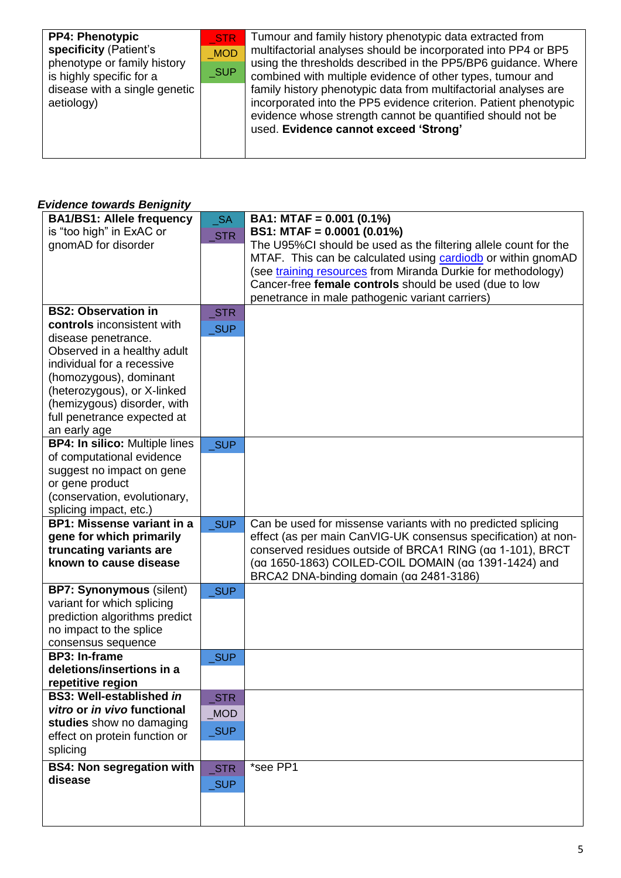| <b>PP4: Phenotypic</b><br>specificity (Patient's<br>phenotype or family history<br>is highly specific for a<br>disease with a single genetic<br>aetiology) | STR<br><b>MOD</b><br>$\sqrt{\ }$ SUP | Tumour and family history phenotypic data extracted from<br>multifactorial analyses should be incorporated into PP4 or BP5<br>using the thresholds described in the PP5/BP6 guidance. Where<br>combined with multiple evidence of other types, tumour and |
|------------------------------------------------------------------------------------------------------------------------------------------------------------|--------------------------------------|-----------------------------------------------------------------------------------------------------------------------------------------------------------------------------------------------------------------------------------------------------------|
|                                                                                                                                                            |                                      | family history phenotypic data from multifactorial analyses are<br>incorporated into the PP5 evidence criterion. Patient phenotypic<br>evidence whose strength cannot be quantified should not be<br>used. Evidence cannot exceed 'Strong'                |

## *Evidence towards Benignity*

| <b>BA1/BS1: Allele frequency</b>                  | <b>SA</b>           | BA1: MTAF = $0.001$ (0.1%)                                      |
|---------------------------------------------------|---------------------|-----------------------------------------------------------------|
| is "too high" in ExAC or                          | <b>STR</b>          | BS1: MTAF = $0.0001$ (0.01%)                                    |
| gnomAD for disorder                               |                     | The U95%CI should be used as the filtering allele count for the |
|                                                   |                     | MTAF. This can be calculated using cardiodb or within gnomAD    |
|                                                   |                     | (see training resources from Miranda Durkie for methodology)    |
|                                                   |                     | Cancer-free female controls should be used (due to low          |
|                                                   |                     | penetrance in male pathogenic variant carriers)                 |
| <b>BS2: Observation in</b>                        | $\_STR$             |                                                                 |
| controls inconsistent with                        |                     |                                                                 |
| disease penetrance.                               | <b>SUP</b>          |                                                                 |
| Observed in a healthy adult                       |                     |                                                                 |
| individual for a recessive                        |                     |                                                                 |
| (homozygous), dominant                            |                     |                                                                 |
| (heterozygous), or X-linked                       |                     |                                                                 |
| (hemizygous) disorder, with                       |                     |                                                                 |
| full penetrance expected at                       |                     |                                                                 |
| an early age                                      |                     |                                                                 |
| <b>BP4: In silico: Multiple lines</b>             | SUP                 |                                                                 |
| of computational evidence                         |                     |                                                                 |
| suggest no impact on gene                         |                     |                                                                 |
| or gene product                                   |                     |                                                                 |
| (conservation, evolutionary,                      |                     |                                                                 |
| splicing impact, etc.)                            |                     |                                                                 |
| <b>BP1: Missense variant in a</b>                 | $\sqrt{\text{SUP}}$ | Can be used for missense variants with no predicted splicing    |
| gene for which primarily                          |                     | effect (as per main CanVIG-UK consensus specification) at non-  |
| truncating variants are                           |                     | conserved residues outside of BRCA1 RING (aa 1-101), BRCT       |
| known to cause disease                            |                     | (aa 1650-1863) COILED-COIL DOMAIN (aa 1391-1424) and            |
|                                                   |                     | BRCA2 DNA-binding domain (aa 2481-3186)                         |
| <b>BP7: Synonymous (silent)</b>                   | <b>SUP</b>          |                                                                 |
| variant for which splicing                        |                     |                                                                 |
| prediction algorithms predict                     |                     |                                                                 |
| no impact to the splice                           |                     |                                                                 |
| consensus sequence                                |                     |                                                                 |
| <b>BP3: In-frame</b><br>deletions/insertions in a | $\sqrt{\text{SUP}}$ |                                                                 |
| repetitive region                                 |                     |                                                                 |
| <b>BS3: Well-established in</b>                   | <b>STR</b>          |                                                                 |
| vitro or in vivo functional                       |                     |                                                                 |
| studies show no damaging                          | MOD                 |                                                                 |
| effect on protein function or                     | $\sqrt{\text{SUP}}$ |                                                                 |
| splicing                                          |                     |                                                                 |
|                                                   |                     |                                                                 |
|                                                   |                     |                                                                 |
| <b>BS4: Non segregation with</b>                  | <b>STR</b>          | *see PP1                                                        |
| disease                                           | SUP                 |                                                                 |
|                                                   |                     |                                                                 |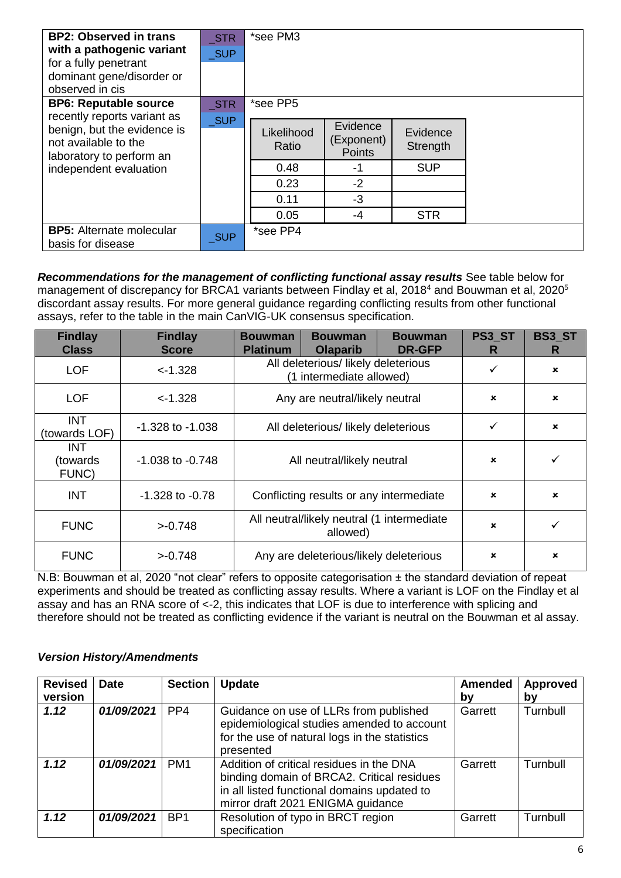| <b>BP2: Observed in trans</b><br>with a pathogenic variant<br>for a fully penetrant<br>dominant gene/disorder or<br>observed in cis | <b>STR</b><br><b>SUP</b> | *see PM3            |                                  |                      |  |
|-------------------------------------------------------------------------------------------------------------------------------------|--------------------------|---------------------|----------------------------------|----------------------|--|
| <b>BP6: Reputable source</b><br>recently reports variant as                                                                         | <b>STR</b><br><b>SUP</b> | *see PP5            |                                  |                      |  |
| benign, but the evidence is<br>not available to the<br>laboratory to perform an                                                     |                          | Likelihood<br>Ratio | Evidence<br>(Exponent)<br>Points | Evidence<br>Strength |  |
| independent evaluation                                                                                                              |                          | 0.48                | -1                               | <b>SUP</b>           |  |
|                                                                                                                                     |                          | 0.23                | $-2$                             |                      |  |
|                                                                                                                                     |                          | 0.11                | $-3$                             |                      |  |
|                                                                                                                                     |                          | 0.05                | $-4$                             | <b>STR</b>           |  |
| <b>BP5:</b> Alternate molecular<br>basis for disease                                                                                | <b>SUP</b>               | *see PP4            |                                  |                      |  |

*Recommendations for the management of conflicting functional assay results* See table below for management of discrepancy for BRCA1 variants between Findlay et al, 2018<sup>4</sup> and Bouwman et al, 2020<sup>5</sup> discordant assay results. For more general guidance regarding conflicting results from other functional assays, refer to the table in the main CanVIG-UK consensus specification.

| <b>Findlay</b><br><b>Class</b>   | <b>Findlay</b><br><b>Score</b> | <b>Bouwman</b><br><b>Platinum</b>                               | <b>Bouwman</b><br><b>Olaparib</b> | <b>Bouwman</b><br><b>DR-GFP</b> | PS3_ST<br>R    | <b>BS3_ST</b><br>R |
|----------------------------------|--------------------------------|-----------------------------------------------------------------|-----------------------------------|---------------------------------|----------------|--------------------|
| <b>LOF</b>                       | $< -1.328$                     | All deleterious/ likely deleterious<br>(1 intermediate allowed) |                                   | ✓                               | $\pmb{\times}$ |                    |
| <b>LOF</b>                       | $<$ -1.328                     | Any are neutral/likely neutral                                  |                                   |                                 | ×              | $\pmb{\times}$     |
| <b>INT</b><br>(towards LOF)      | $-1.328$ to $-1.038$           | All deleterious/likely deleterious                              |                                   |                                 | ✓              | $\pmb{\times}$     |
| <b>INT</b><br>(towards)<br>FUNC) | $-1.038$ to $-0.748$           | All neutral/likely neutral                                      |                                   | $\mathbf x$                     | ✓              |                    |
| <b>INT</b>                       | $-1.328$ to $-0.78$            | Conflicting results or any intermediate                         |                                   | ×                               | $\mathbf x$    |                    |
| <b>FUNC</b>                      | >0.748                         | All neutral/likely neutral (1 intermediate<br>allowed)          |                                   |                                 | $\mathbf x$    | ✓                  |
| <b>FUNC</b>                      | >-0.748                        | Any are deleterious/likely deleterious                          |                                   | ×                               | $\pmb{\times}$ |                    |

N.B: Bouwman et al, 2020 "not clear" refers to opposite categorisation ± the standard deviation of repeat experiments and should be treated as conflicting assay results. Where a variant is LOF on the Findlay et al assay and has an RNA score of <-2, this indicates that LOF is due to interference with splicing and therefore should not be treated as conflicting evidence if the variant is neutral on the Bouwman et al assay.

### *Version History/Amendments*

| <b>Revised</b><br>version | <b>Date</b> | <b>Section</b>  | <b>Update</b>                                                                                                                                                              | <b>Amended</b><br>bv | Approved<br>by |
|---------------------------|-------------|-----------------|----------------------------------------------------------------------------------------------------------------------------------------------------------------------------|----------------------|----------------|
| 1.12                      | 01/09/2021  | PP <sub>4</sub> | Guidance on use of LLRs from published<br>epidemiological studies amended to account<br>for the use of natural logs in the statistics<br>presented                         | Garrett              | Turnbull       |
| 1.12                      | 01/09/2021  | PM <sub>1</sub> | Addition of critical residues in the DNA<br>binding domain of BRCA2. Critical residues<br>in all listed functional domains updated to<br>mirror draft 2021 ENIGMA guidance | Garrett              | Turnbull       |
| 1.12                      | 01/09/2021  | BP <sub>1</sub> | Resolution of typo in BRCT region<br>specification                                                                                                                         | Garrett              | Turnbull       |